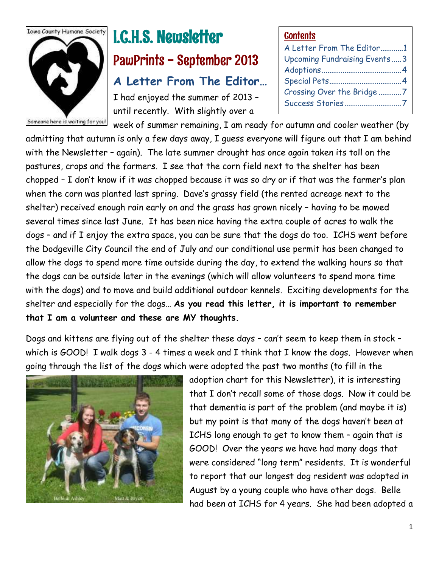

# I.C.H.S. Newsletter PawPrints - September 2013 **A Letter From The Editor…**

I had enjoyed the summer of 2013 – until recently. With slightly over a

#### **Contents**

| A Letter From The Editor1    |  |
|------------------------------|--|
| Upcoming Fundraising Events3 |  |
|                              |  |
|                              |  |
| Crossing Over the Bridge 7   |  |
| Success Stories7             |  |
|                              |  |

week of summer remaining, I am ready for autumn and cooler weather (by admitting that autumn is only a few days away, I guess everyone will figure out that I am behind with the Newsletter – again). The late summer drought has once again taken its toll on the pastures, crops and the farmers. I see that the corn field next to the shelter has been chopped – I don't know if it was chopped because it was so dry or if that was the farmer's plan when the corn was planted last spring. Dave's grassy field (the rented acreage next to the shelter) received enough rain early on and the grass has grown nicely – having to be mowed several times since last June. It has been nice having the extra couple of acres to walk the dogs – and if I enjoy the extra space, you can be sure that the dogs do too. ICHS went before the Dodgeville City Council the end of July and our conditional use permit has been changed to allow the dogs to spend more time outside during the day, to extend the walking hours so that the dogs can be outside later in the evenings (which will allow volunteers to spend more time with the dogs) and to move and build additional outdoor kennels. Exciting developments for the shelter and especially for the dogs… **As you read this letter, it is important to remember that I am a volunteer and these are MY thoughts.**

Dogs and kittens are flying out of the shelter these days – can't seem to keep them in stock – which is GOOD! I walk dogs 3 - 4 times a week and I think that I know the dogs. However when going through the list of the dogs which were adopted the past two months (to fill in the



adoption chart for this Newsletter), it is interesting that I don't recall some of those dogs. Now it could be that dementia is part of the problem (and maybe it is) but my point is that many of the dogs haven't been at ICHS long enough to get to know them – again that is GOOD! Over the years we have had many dogs that were considered "long term" residents. It is wonderful to report that our longest dog resident was adopted in August by a young couple who have other dogs. Belle had been at ICHS for 4 years. She had been adopted a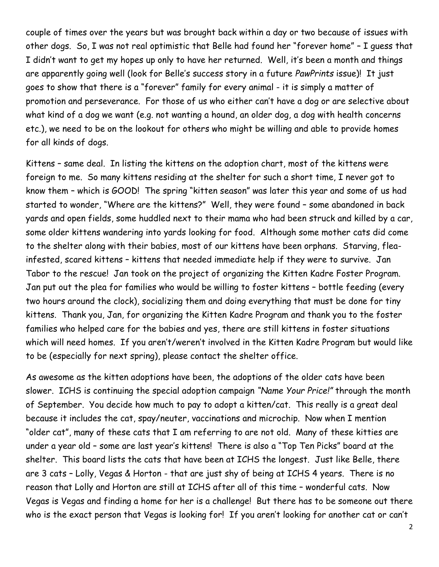couple of times over the years but was brought back within a day or two because of issues with other dogs. So, I was not real optimistic that Belle had found her "forever home" – I guess that I didn't want to get my hopes up only to have her returned. Well, it's been a month and things are apparently going well (look for Belle's success story in a future *PawPrints* issue)! It just goes to show that there is a "forever" family for every animal - it is simply a matter of promotion and perseverance. For those of us who either can't have a dog or are selective about what kind of a dog we want (e.g. not wanting a hound, an older dog, a dog with health concerns etc.), we need to be on the lookout for others who might be willing and able to provide homes for all kinds of dogs.

Kittens – same deal. In listing the kittens on the adoption chart, most of the kittens were foreign to me. So many kittens residing at the shelter for such a short time, I never got to know them – which is GOOD! The spring "kitten season" was later this year and some of us had started to wonder, "Where are the kittens?" Well, they were found – some abandoned in back yards and open fields, some huddled next to their mama who had been struck and killed by a car, some older kittens wandering into yards looking for food. Although some mother cats did come to the shelter along with their babies, most of our kittens have been orphans. Starving, fleainfested, scared kittens – kittens that needed immediate help if they were to survive. Jan Tabor to the rescue! Jan took on the project of organizing the Kitten Kadre Foster Program. Jan put out the plea for families who would be willing to foster kittens – bottle feeding (every two hours around the clock), socializing them and doing everything that must be done for tiny kittens. Thank you, Jan, for organizing the Kitten Kadre Program and thank you to the foster families who helped care for the babies and yes, there are still kittens in foster situations which will need homes. If you aren't/weren't involved in the Kitten Kadre Program but would like to be (especially for next spring), please contact the shelter office.

As awesome as the kitten adoptions have been, the adoptions of the older cats have been slower. ICHS is continuing the special adoption campaign *"Name Your Price!"* through the month of September. You decide how much to pay to adopt a kitten/cat. This really is a great deal because it includes the cat, spay/neuter, vaccinations and microchip. Now when I mention "older cat", many of these cats that I am referring to are not old. Many of these kitties are under a year old – some are last year's kittens! There is also a "Top Ten Picks" board at the shelter. This board lists the cats that have been at ICHS the longest. Just like Belle, there are 3 cats – Lolly, Vegas & Horton - that are just shy of being at ICHS 4 years. There is no reason that Lolly and Horton are still at ICHS after all of this time – wonderful cats. Now Vegas is Vegas and finding a home for her is a challenge! But there has to be someone out there who is the exact person that Vegas is looking for! If you aren't looking for another cat or can't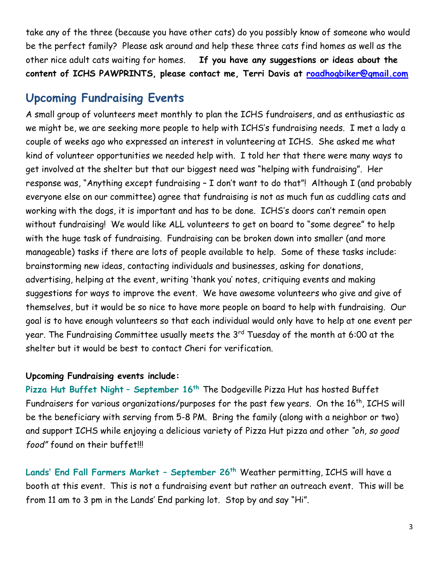take any of the three (because you have other cats) do you possibly know of someone who would be the perfect family? Please ask around and help these three cats find homes as well as the other nice adult cats waiting for homes. **If you have any suggestions or ideas about the content of ICHS PAWPRINTS, please contact me, Terri Davis at [roadhogbiker@gmail.com](mailto:roadhogbiker@gmail.com)**

## **Upcoming Fundraising Events**

A small group of volunteers meet monthly to plan the ICHS fundraisers, and as enthusiastic as we might be, we are seeking more people to help with ICHS's fundraising needs. I met a lady a couple of weeks ago who expressed an interest in volunteering at ICHS. She asked me what kind of volunteer opportunities we needed help with. I told her that there were many ways to get involved at the shelter but that our biggest need was "helping with fundraising". Her response was, "Anything except fundraising – I don't want to do that"! Although I (and probably everyone else on our committee) agree that fundraising is not as much fun as cuddling cats and working with the dogs, it is important and has to be done. ICHS's doors can't remain open without fundraising! We would like ALL volunteers to get on board to "some degree" to help with the huge task of fundraising. Fundraising can be broken down into smaller (and more manageable) tasks if there are lots of people available to help. Some of these tasks include: brainstorming new ideas, contacting individuals and businesses, asking for donations, advertising, helping at the event, writing 'thank you' notes, critiquing events and making suggestions for ways to improve the event. We have awesome volunteers who give and give of themselves, but it would be so nice to have more people on board to help with fundraising. Our goal is to have enough volunteers so that each individual would only have to help at one event per year. The Fundraising Committee usually meets the 3<sup>rd</sup> Tuesday of the month at 6:00 at the shelter but it would be best to contact Cheri for verification.

#### **Upcoming Fundraising events include:**

**Pizza Hut Buffet Night** – **September 16th** The Dodgeville Pizza Hut has hosted Buffet Fundraisers for various organizations/purposes for the past few years. On the 16<sup>th</sup>, ICHS will be the beneficiary with serving from 5-8 PM. Bring the family (along with a neighbor or two) and support ICHS while enjoying a delicious variety of Pizza Hut pizza and other *"oh, so good food"* found on their buffet!!!

**Lands' End Fall Farmers Market – September 26th** Weather permitting, ICHS will have a booth at this event. This is not a fundraising event but rather an outreach event. This will be from 11 am to 3 pm in the Lands' End parking lot. Stop by and say "Hi".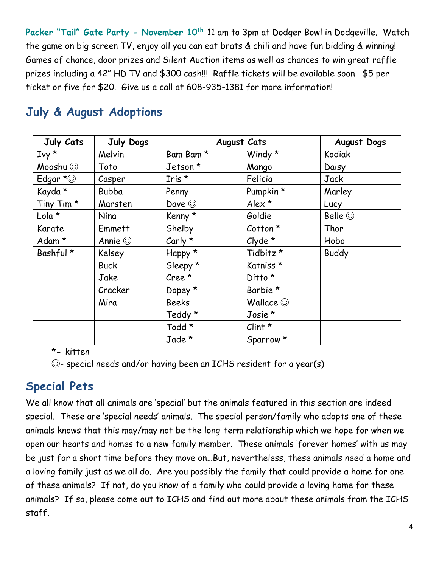**Packer "Tail" Gate Party - November 10th** 11 am to 3pm at Dodger Bowl in Dodgeville. Watch the game on big screen TV, enjoy all you can eat brats & chili and have fun bidding & winning! Games of chance, door prizes and Silent Auction items as well as chances to win great raffle prizes including a 42" HD TV and \$300 cash!!! Raffle tickets will be available soon--\$5 per ticket or five for \$20. Give us a call at 608-935-1381 for more information!

| July Cats             | July Dogs     |                | <b>August Cats</b>   | <b>August Dogs</b> |
|-----------------------|---------------|----------------|----------------------|--------------------|
| $Ivy \star$           | Melvin        | Bam Bam *      | Windy $*$            | Kodiak             |
| Mooshu (C)            | Toto          | Jetson*        | Mango                | Daisy              |
| Edgar $\star$ $\odot$ | Casper        | Iris *         | Felicia              | Jack               |
| Kayda *               | <b>Bubba</b>  | Penny          | Pumpkin *            | Marley             |
| Tiny Tim <sup>*</sup> | Marsten       | Dave $\odot$   | Alex $*$             | Lucy               |
| Lola *                | Nina          | Kenny *        | Goldie               | Belle $\odot$      |
| Karate                | Emmett        | Shelby         | $Cotton *$           | Thor               |
| Adam *                | Annie $\odot$ | Carly $*$      | $Clyde \star$        | Hobo               |
| Bashful *             | Kelsey        | Happy *        | Tidbitz *            | <b>Buddy</b>       |
|                       | <b>Buck</b>   | Sleepy *       | Katniss*             |                    |
|                       | Jake          | $Cree^{\star}$ | Ditto *              |                    |
|                       | Cracker       | Dopey *        | Barbie *             |                    |
|                       | Mira          | <b>Beeks</b>   | Wallace $\odot$      |                    |
|                       |               | Teddy *        | Josie *              |                    |
|                       |               | Todd *         | $Clint *$            |                    |
|                       |               | Jade *         | Sparrow <sup>*</sup> |                    |

# **July & August Adoptions**

**\*-** kitten

☺- special needs and/or having been an ICHS resident for a year(s)

# **Special Pets**

We all know that all animals are 'special' but the animals featured in this section are indeed special. These are 'special needs' animals. The special person/family who adopts one of these animals knows that this may/may not be the long-term relationship which we hope for when we open our hearts and homes to a new family member. These animals 'forever homes' with us may be just for a short time before they move on…But, nevertheless, these animals need a home and a loving family just as we all do. Are you possibly the family that could provide a home for one of these animals? If not, do you know of a family who could provide a loving home for these animals? If so, please come out to ICHS and find out more about these animals from the ICHS staff.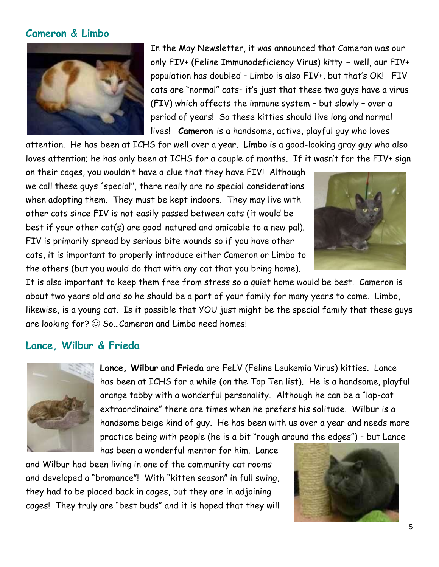### **Cameron & Limbo**



In the May Newsletter, it was announced that Cameron was our only FIV+ (Feline Immunodeficiency Virus) kitty **–** well, our FIV+ population has doubled – Limbo is also FIV+, but that's OK! FIV cats are "normal" cats– it's just that these two guys have a virus (FIV) which affects the immune system – but slowly – over a period of years! So these kitties should live long and normal lives! **Cameron** is a handsome, active, playful guy who loves

attention. He has been at ICHS for well over a year. **Limbo** is a good-looking gray guy who also loves attention; he has only been at ICHS for a couple of months. If it wasn't for the FIV+ sign

on their cages, you wouldn't have a clue that they have FIV! Although we call these guys "special", there really are no special considerations when adopting them. They must be kept indoors. They may live with other cats since FIV is not easily passed between cats (it would be best if your other cat(s) are good-natured and amicable to a new pal). FIV is primarily spread by serious bite wounds so if you have other cats, it is important to properly introduce either Cameron or Limbo to the others (but you would do that with any cat that you bring home).



It is also important to keep them free from stress so a quiet home would be best. Cameron is about two years old and so he should be a part of your family for many years to come. Limbo, likewise, is a young cat. Is it possible that YOU just might be the special family that these guys are looking for?  $\odot$  So...Cameron and Limbo need homes!

#### **Lance, Wilbur & Frieda**



**Lance, Wilbur** and **Frieda** are FeLV (Feline Leukemia Virus) kitties. Lance has been at ICHS for a while (on the Top Ten list). He is a handsome, playful orange tabby with a wonderful personality. Although he can be a "lap-cat extraordinaire" there are times when he prefers his solitude. Wilbur is a handsome beige kind of guy. He has been with us over a year and needs more practice being with people (he is a bit "rough around the edges") – but Lance

has been a wonderful mentor for him. Lance and Wilbur had been living in one of the community cat rooms and developed a "bromance"! With "kitten season" in full swing, they had to be placed back in cages, but they are in adjoining cages! They truly are "best buds" and it is hoped that they will

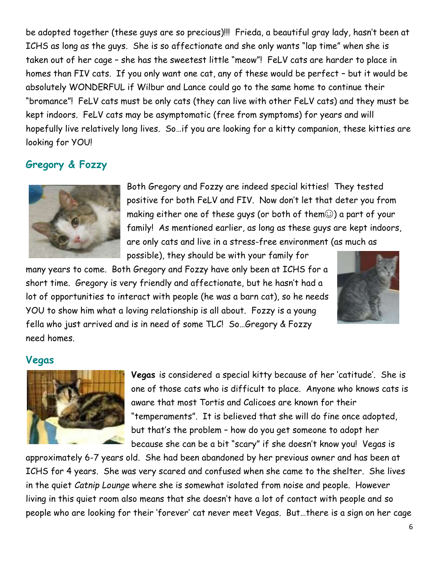be adopted together (these guys are so precious)!!! Frieda, a beautiful gray lady, hasn't been at ICHS as long as the guys. She is so affectionate and she only wants "lap time" when she is taken out of her cage – she has the sweetest little "meow"! FeLV cats are harder to place in homes than FIV cats. If you only want one cat, any of these would be perfect – but it would be absolutely WONDERFUL if Wilbur and Lance could go to the same home to continue their "bromance"! FeLV cats must be only cats (they can live with other FeLV cats) and they must be kept indoors. FeLV cats may be asymptomatic (free from symptoms) for years and will hopefully live relatively long lives. So…if you are looking for a kitty companion, these kitties are looking for YOU!

### **Gregory & Fozzy**



Both Gregory and Fozzy are indeed special kitties! They tested positive for both FeLV and FIV. Now don't let that deter you from making either one of these guys (or both of them☺) a part of your family! As mentioned earlier, as long as these guys are kept indoors, are only cats and live in a stress-free environment (as much as possible), they should be with your family for

many years to come. Both Gregory and Fozzy have only been at ICHS for a short time. Gregory is very friendly and affectionate, but he hasn't had a lot of opportunities to interact with people (he was a barn cat), so he needs YOU to show him what a loving relationship is all about. Fozzy is a young fella who just arrived and is in need of some TLC! So…Gregory & Fozzy need homes.



#### **Vegas**



**Vegas** is considered a special kitty because of her 'catitude'. She is one of those cats who is difficult to place. Anyone who knows cats is aware that most Tortis and Calicoes are known for their "temperaments". It is believed that she will do fine once adopted, but that's the problem – how do you get someone to adopt her because she can be a bit "scary" if she doesn't know you! Vegas is

approximately 6-7 years old. She had been abandoned by her previous owner and has been at ICHS for 4 years. She was very scared and confused when she came to the shelter. She lives in the quiet *Catnip Lounge* where she is somewhat isolated from noise and people. However living in this quiet room also means that she doesn't have a lot of contact with people and so people who are looking for their 'forever' cat never meet Vegas. But…there is a sign on her cage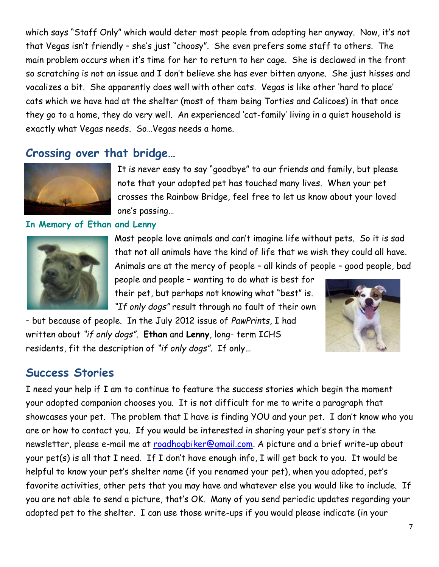which says "Staff Only" which would deter most people from adopting her anyway. Now, it's not that Vegas isn't friendly – she's just "choosy". She even prefers some staff to others. The main problem occurs when it's time for her to return to her cage. She is declawed in the front so scratching is not an issue and I don't believe she has ever bitten anyone. She just hisses and vocalizes a bit. She apparently does well with other cats. Vegas is like other 'hard to place' cats which we have had at the shelter (most of them being Torties and Calicoes) in that once they go to a home, they do very well. An experienced 'cat-family' living in a quiet household is exactly what Vegas needs. So…Vegas needs a home.

# **Crossing over that bridge…**



It is never easy to say "goodbye" to our friends and family, but please note that your adopted pet has touched many lives. When your pet crosses the Rainbow Bridge, feel free to let us know about your loved one's passing…

#### **In Memory of Ethan and Lenny**



Most people love animals and can't imagine life without pets. So it is sad that not all animals have the kind of life that we wish they could all have. Animals are at the mercy of people – all kinds of people – good people, bad

people and people – wanting to do what is best for their pet, but perhaps not knowing what "best" is. *"If only dogs"* result through no fault of their own

– but because of people. In the July 2012 issue of *PawPrints*, I had written about *"if only dogs"*. **Ethan** and **Lenny**, long- term ICHS residents, fit the description of *"if only dogs".* If only…



### **Success Stories**

I need your help if I am to continue to feature the success stories which begin the moment your adopted companion chooses you. It is not difficult for me to write a paragraph that showcases your pet. The problem that I have is finding YOU and your pet. I don't know who you are or how to contact you. If you would be interested in sharing your pet's story in the newsletter, please e-mail me at [roadhogbiker@gmail.com.](mailto:roadhogbiker@gmail.com) A picture and a brief write-up about your pet(s) is all that I need. If I don't have enough info, I will get back to you. It would be helpful to know your pet's shelter name (if you renamed your pet), when you adopted, pet's favorite activities, other pets that you may have and whatever else you would like to include. If you are not able to send a picture, that's OK. Many of you send periodic updates regarding your adopted pet to the shelter. I can use those write-ups if you would please indicate (in your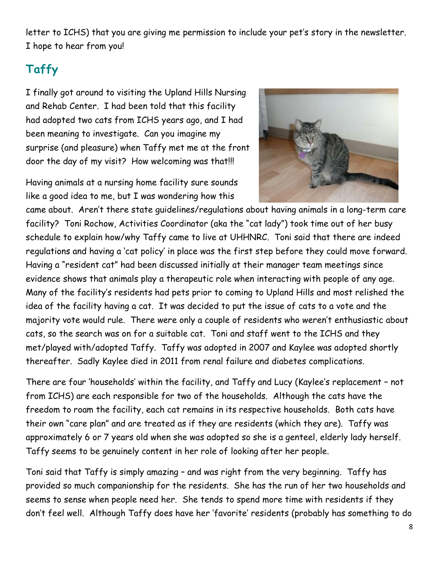letter to ICHS) that you are giving me permission to include your pet's story in the newsletter. I hope to hear from you!

# **Taffy**

I finally got around to visiting the Upland Hills Nursing and Rehab Center. I had been told that this facility had adopted two cats from ICHS years ago, and I had been meaning to investigate. Can you imagine my surprise (and pleasure) when Taffy met me at the front door the day of my visit? How welcoming was that!!!

Having animals at a nursing home facility sure sounds like a good idea to me, but I was wondering how this



came about. Aren't there state guidelines/regulations about having animals in a long-term care facility? Toni Rochow, Activities Coordinator (aka the "cat lady") took time out of her busy schedule to explain how/why Taffy came to live at UHHNRC. Toni said that there are indeed regulations and having a 'cat policy' in place was the first step before they could move forward. Having a "resident cat" had been discussed initially at their manager team meetings since evidence shows that animals play a therapeutic role when interacting with people of any age. Many of the facility's residents had pets prior to coming to Upland Hills and most relished the idea of the facility having a cat. It was decided to put the issue of cats to a vote and the majority vote would rule. There were only a couple of residents who weren't enthusiastic about cats, so the search was on for a suitable cat. Toni and staff went to the ICHS and they met/played with/adopted Taffy. Taffy was adopted in 2007 and Kaylee was adopted shortly thereafter. Sadly Kaylee died in 2011 from renal failure and diabetes complications.

There are four 'households' within the facility, and Taffy and Lucy (Kaylee's replacement – not from ICHS) are each responsible for two of the households. Although the cats have the freedom to roam the facility, each cat remains in its respective households. Both cats have their own "care plan" and are treated as if they are residents (which they are). Taffy was approximately 6 or 7 years old when she was adopted so she is a genteel, elderly lady herself. Taffy seems to be genuinely content in her role of looking after her people.

Toni said that Taffy is simply amazing – and was right from the very beginning. Taffy has provided so much companionship for the residents. She has the run of her two households and seems to sense when people need her. She tends to spend more time with residents if they don't feel well. Although Taffy does have her 'favorite' residents (probably has something to do